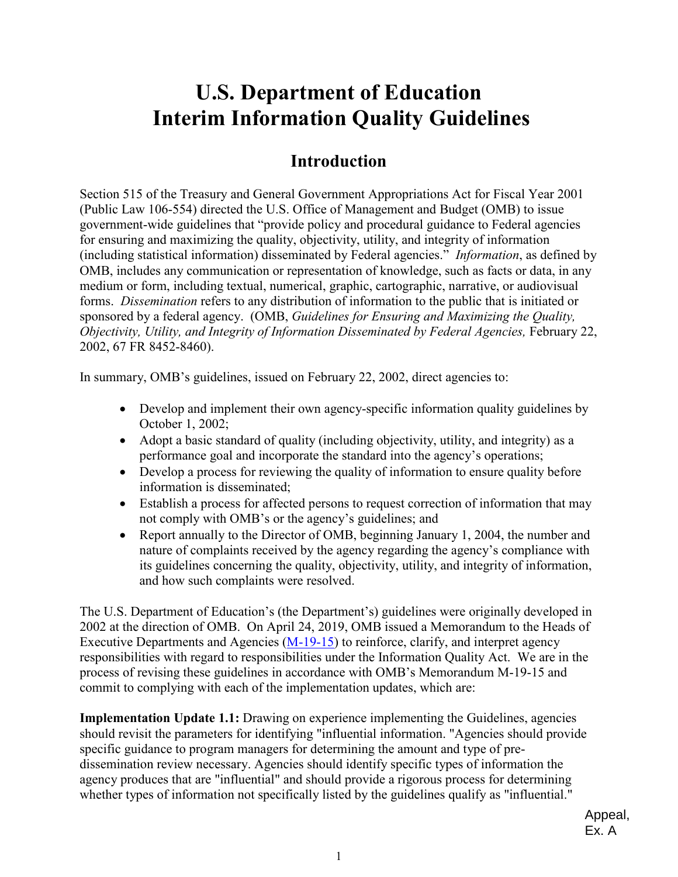# **U.S. Department of Education Interim Information Quality Guidelines**

# **Introduction**

 (including statistical information) disseminated by Federal agencies." *Information*, as defined by forms. *Dissemination* refers to any distribution of information to the public that is initiated or Section 515 of the Treasury and General Government Appropriations Act for Fiscal Year 2001 (Public Law 106-554) directed the U.S. Office of Management and Budget (OMB) to issue government-wide guidelines that "provide policy and procedural guidance to Federal agencies for ensuring and maximizing the quality, objectivity, utility, and integrity of information OMB, includes any communication or representation of knowledge, such as facts or data, in any medium or form, including textual, numerical, graphic, cartographic, narrative, or audiovisual sponsored by a federal agency. (OMB, *Guidelines for Ensuring and Maximizing the Quality, Objectivity, Utility, and Integrity of Information Disseminated by Federal Agencies, February 22,* 2002, 67 FR 8452-8460).

In summary, OMB's guidelines, issued on February 22, 2002, direct agencies to:

- Develop and implement their own agency-specific information quality guidelines by October 1, 2002;
- • Adopt a basic standard of quality (including objectivity, utility, and integrity) as a performance goal and incorporate the standard into the agency's operations;
- Develop a process for reviewing the quality of information to ensure quality before information is disseminated;
- Establish a process for affected persons to request correction of information that may not comply with OMB's or the agency's guidelines; and
- and how such complaints were resolved. • Report annually to the Director of OMB, beginning January 1, 2004, the number and nature of complaints received by the agency regarding the agency's compliance with its guidelines concerning the quality, objectivity, utility, and integrity of information,

 responsibilities with regard to responsibilities under the Information Quality Act. We are in the The U.S. Department of Education's (the Department's) guidelines were originally developed in 2002 at the direction of OMB. On April 24, 2019, OMB issued a Memorandum to the Heads of Executive Departments and Agencies [\(M-19-15\)](https://www.whitehouse.gov/wp-content/uploads/2019/04/M-19-15.pdf) to reinforce, clarify, and interpret agency process of revising these guidelines in accordance with OMB's Memorandum M-19-15 and commit to complying with each of the implementation updates, which are:

 agency produces that are "influential" and should provide a rigorous process for determining whether types of information not specifically listed by the guidelines qualify as "influential." **Implementation Update 1.1:** Drawing on experience implementing the Guidelines, agencies should revisit the parameters for identifying "influential information. "Agencies should provide specific guidance to program managers for determining the amount and type of predissemination review necessary. Agencies should identify specific types of information the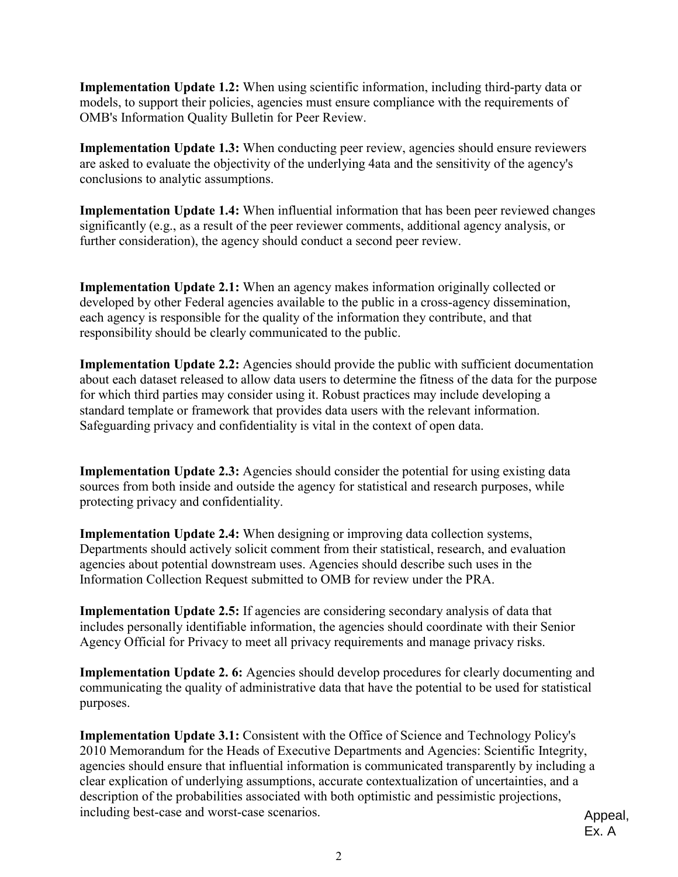**Implementation Update 1.2:** When using scientific information, including third-party data or models, to support their policies, agencies must ensure compliance with the requirements of OMB's Information Quality Bulletin for Peer Review.

**Implementation Update 1.3:** When conducting peer review, agencies should ensure reviewers are asked to evaluate the objectivity of the underlying 4ata and the sensitivity of the agency's conclusions to analytic assumptions.

**Implementation Update 1.4:** When influential information that has been peer reviewed changes significantly (e.g., as a result of the peer reviewer comments, additional agency analysis, or further consideration), the agency should conduct a second peer review.

**Implementation Update 2.1:** When an agency makes information originally collected or developed by other Federal agencies available to the public in a cross-agency dissemination, each agency is responsible for the quality of the information they contribute, and that responsibility should be clearly communicated to the public.

**Implementation Update 2.2:** Agencies should provide the public with sufficient documentation about each dataset released to allow data users to determine the fitness of the data for the purpose for which third parties may consider using it. Robust practices may include developing a standard template or framework that provides data users with the relevant information. Safeguarding privacy and confidentiality is vital in the context of open data.

**Implementation Update 2.3:** Agencies should consider the potential for using existing data sources from both inside and outside the agency for statistical and research purposes, while protecting privacy and confidentiality.

**Implementation Update 2.4:** When designing or improving data collection systems, Departments should actively solicit comment from their statistical, research, and evaluation agencies about potential downstream uses. Agencies should describe such uses in the Information Collection Request submitted to OMB for review under the PRA.

**Implementation Update 2.5:** If agencies are considering secondary analysis of data that includes personally identifiable information, the agencies should coordinate with their Senior Agency Official for Privacy to meet all privacy requirements and manage privacy risks.

**Implementation Update 2. 6:** Agencies should develop procedures for clearly documenting and communicating the quality of administrative data that have the potential to be used for statistical purposes.

**Implementation Update 3.1:** Consistent with the Office of Science and Technology Policy's 2010 Memorandum for the Heads of Executive Departments and Agencies: Scientific Integrity, agencies should ensure that influential information is communicated transparently by including a clear explication of underlying assumptions, accurate contextualization of uncertainties, and a description of the probabilities associated with both optimistic and pessimistic projections, including best-case and worst-case scenarios.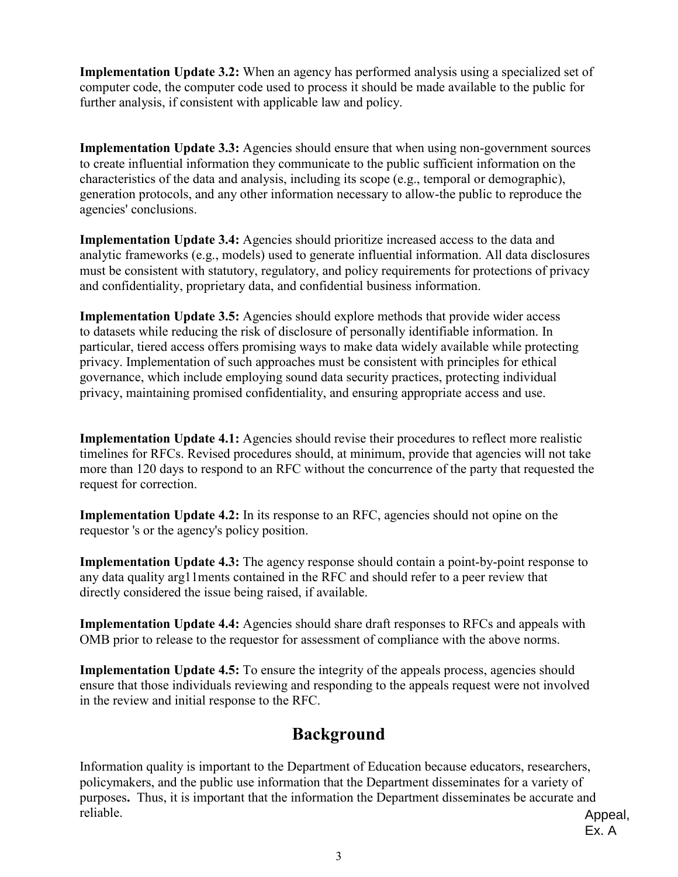**Implementation Update 3.2:** When an agency has performed analysis using a specialized set of computer code, the computer code used to process it should be made available to the public for further analysis, if consistent with applicable law and policy.

**Implementation Update 3.3:** Agencies should ensure that when using non-government sources to create influential information they communicate to the public sufficient information on the characteristics of the data and analysis, including its scope (e.g., temporal or demographic), generation protocols, and any other information necessary to allow-the public to reproduce the agencies' conclusions.

**Implementation Update 3.4:** Agencies should prioritize increased access to the data and analytic frameworks (e.g., models) used to generate influential information. All data disclosures must be consistent with statutory, regulatory, and policy requirements for protections of privacy and confidentiality, proprietary data, and confidential business information.

**Implementation Update 3.5:** Agencies should explore methods that provide wider access to datasets while reducing the risk of disclosure of personally identifiable information. In particular, tiered access offers promising ways to make data widely available while protecting privacy. Implementation of such approaches must be consistent with principles for ethical governance, which include employing sound data security practices, protecting individual privacy, maintaining promised confidentiality, and ensuring appropriate access and use.

**Implementation Update 4.1:** Agencies should revise their procedures to reflect more realistic timelines for RFCs. Revised procedures should, at minimum, provide that agencies will not take more than 120 days to respond to an RFC without the concurrence of the party that requested the request for correction.

**Implementation Update 4.2:** In its response to an RFC, agencies should not opine on the requestor 's or the agency's policy position.

**Implementation Update 4.3:** The agency response should contain a point-by-point response to any data quality arg11ments contained in the RFC and should refer to a peer review that directly considered the issue being raised, if available.

**Implementation Update 4.4:** Agencies should share draft responses to RFCs and appeals with OMB prior to release to the requestor for assessment of compliance with the above norms.

**Implementation Update 4.5:** To ensure the integrity of the appeals process, agencies should ensure that those individuals reviewing and responding to the appeals request were not involved in the review and initial response to the RFC.

# **Background**

Information quality is important to the Department of Education because educators, researchers, policymakers, and the public use information that the Department disseminates for a variety of purposes**.** Thus, it is important that the information the Department disseminates be accurate and reliable.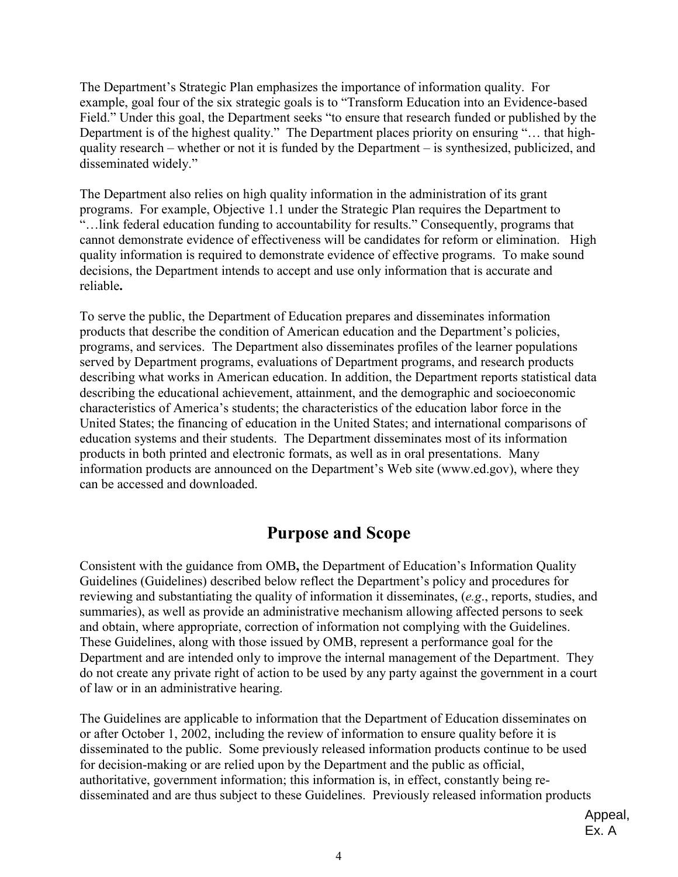The Department's Strategic Plan emphasizes the importance of information quality. For example, goal four of the six strategic goals is to "Transform Education into an Evidence-based Field." Under this goal, the Department seeks "to ensure that research funded or published by the Department is of the highest quality." The Department places priority on ensuring "… that highquality research – whether or not it is funded by the Department – is synthesized, publicized, and disseminated widely."

The Department also relies on high quality information in the administration of its grant programs. For example, Objective 1.1 under the Strategic Plan requires the Department to "…link federal education funding to accountability for results." Consequently, programs that cannot demonstrate evidence of effectiveness will be candidates for reform or elimination. High quality information is required to demonstrate evidence of effective programs. To make sound decisions, the Department intends to accept and use only information that is accurate and reliable**.** 

 programs, and services. The Department also disseminates profiles of the learner populations To serve the public, the Department of Education prepares and disseminates information products that describe the condition of American education and the Department's policies, served by Department programs, evaluations of Department programs, and research products describing what works in American education. In addition, the Department reports statistical data describing the educational achievement, attainment, and the demographic and socioeconomic characteristics of America's students; the characteristics of the education labor force in the United States; the financing of education in the United States; and international comparisons of education systems and their students. The Department disseminates most of its information products in both printed and electronic formats, as well as in oral presentations. Many information products are announced on the Department's Web site (<www.ed.gov>), where they can be accessed and downloaded.

# **Purpose and Scope**

and obtain, where appropriate, correction of information not complying with the Guidelines. do not create any private right of action to be used by any party against the government in a court Consistent with the guidance from OMB**,** the Department of Education's Information Quality Guidelines (Guidelines) described below reflect the Department's policy and procedures for reviewing and substantiating the quality of information it disseminates, (*e.g*., reports, studies, and summaries), as well as provide an administrative mechanism allowing affected persons to seek These Guidelines, along with those issued by OMB, represent a performance goal for the Department and are intended only to improve the internal management of the Department. They of law or in an administrative hearing.

The Guidelines are applicable to information that the Department of Education disseminates on or after October 1, 2002, including the review of information to ensure quality before it is disseminated to the public. Some previously released information products continue to be used for decision-making or are relied upon by the Department and the public as official, authoritative, government information; this information is, in effect, constantly being redisseminated and are thus subject to these Guidelines. Previously released information products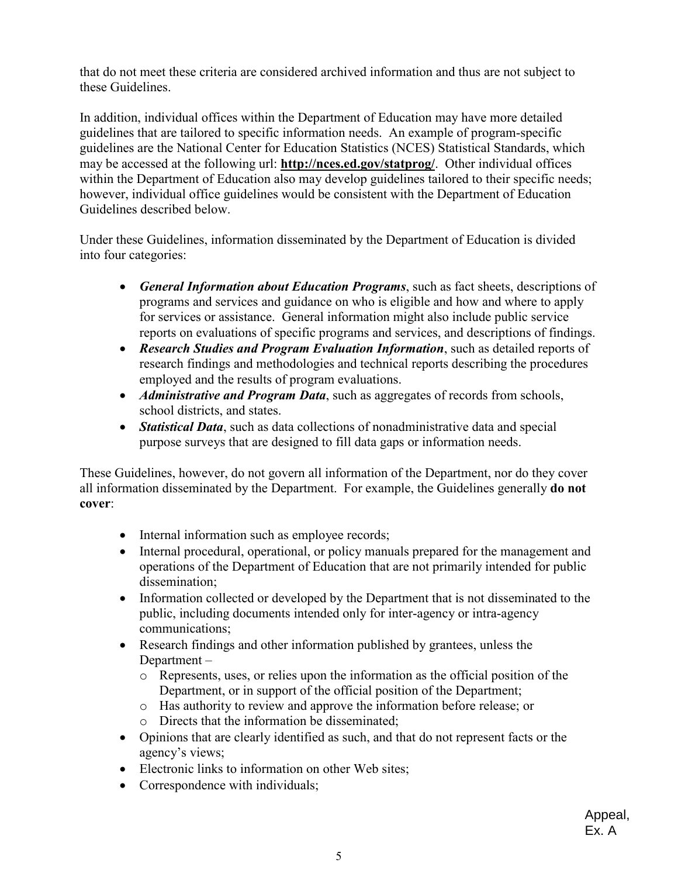that do not meet these criteria are considered archived information and thus are not subject to these Guidelines.

In addition, individual offices within the Department of Education may have more detailed guidelines that are tailored to specific information needs. An example of program-specific guidelines are the National Center for Education Statistics (NCES) Statistical Standards, which may be accessed at the following url: **<http://nces.ed.gov/statprog/>**. Other individual offices within the Department of Education also may develop guidelines tailored to their specific needs; however, individual office guidelines would be consistent with the Department of Education Guidelines described below.

 into four categories: Under these Guidelines, information disseminated by the Department of Education is divided

- *General Information about Education Programs*, such as fact sheets, descriptions of programs and services and guidance on who is eligible and how and where to apply for services or assistance. General information might also include public service reports on evaluations of specific programs and services, and descriptions of findings.
- *Research Studies and Program Evaluation Information*, such as detailed reports of research findings and methodologies and technical reports describing the procedures employed and the results of program evaluations.
- *Administrative and Program Data*, such as aggregates of records from schools, school districts, and states.
- purpose surveys that are designed to fill data gaps or information needs. • *Statistical Data*, such as data collections of nonadministrative data and special

 These Guidelines, however, do not govern all information of the Department, nor do they cover all information disseminated by the Department. For example, the Guidelines generally **do not cover**:

- Internal information such as employee records;
- Internal procedural, operational, or policy manuals prepared for the management and operations of the Department of Education that are not primarily intended for public dissemination;
- • Information collected or developed by the Department that is not disseminated to the public, including documents intended only for inter-agency or intra-agency communications;
- Research findings and other information published by grantees, unless the Department –
	- o Represents, uses, or relies upon the information as the official position of the Department, or in support of the official position of the Department;
	- o Has authority to review and approve the information before release; or
	- o Directs that the information be disseminated;
- Opinions that are clearly identified as such, and that do not represent facts or the agency's views;
- Electronic links to information on other Web sites;
- Correspondence with individuals;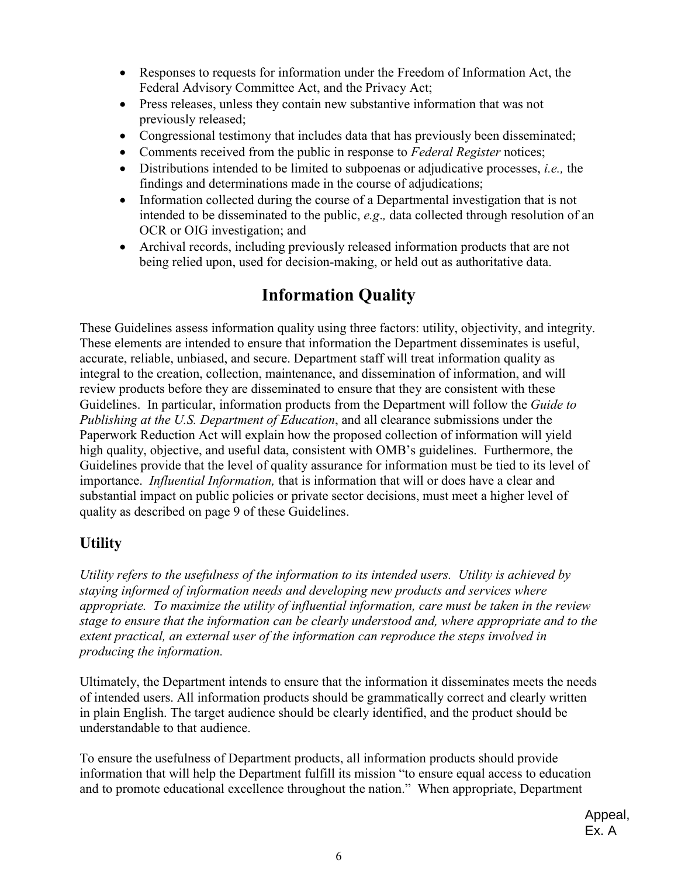- • Responses to requests for information under the Freedom of Information Act, the Federal Advisory Committee Act, and the Privacy Act;
- Press releases, unless they contain new substantive information that was not previously released;
- Congressional testimony that includes data that has previously been disseminated;
- Comments received from the public in response to *Federal Register* notices;
- findings and determinations made in the course of adjudications; • Distributions intended to be limited to subpoenas or adjudicative processes, *i.e.,* the
- Information collected during the course of a Departmental investigation that is not intended to be disseminated to the public, *e.g*.*,* data collected through resolution of an OCR or OIG investigation; and
- Archival records, including previously released information products that are not being relied upon, used for decision-making, or held out as authoritative data.

# **Information Quality**

 accurate, reliable, unbiased, and secure. Department staff will treat information quality as importance. *Influential Information,* that is information that will or does have a clear and These Guidelines assess information quality using three factors: utility, objectivity, and integrity. These elements are intended to ensure that information the Department disseminates is useful, integral to the creation, collection, maintenance, and dissemination of information, and will review products before they are disseminated to ensure that they are consistent with these Guidelines. In particular, information products from the Department will follow the *Guide to Publishing at the U.S. Department of Education*, and all clearance submissions under the Paperwork Reduction Act will explain how the proposed collection of information will yield high quality, objective, and useful data, consistent with OMB's guidelines. Furthermore, the Guidelines provide that the level of quality assurance for information must be tied to its level of substantial impact on public policies or private sector decisions, must meet a higher level of quality as described on page 9 of these Guidelines.

### **Utility**

*Utility refers to the usefulness of the information to its intended users. Utility is achieved by staying informed of information needs and developing new products and services where appropriate. To maximize the utility of influential information, care must be taken in the review stage to ensure that the information can be clearly understood and, where appropriate and to the extent practical, an external user of the information can reproduce the steps involved in producing the information.* 

 understandable to that audience. Ultimately, the Department intends to ensure that the information it disseminates meets the needs of intended users. All information products should be grammatically correct and clearly written in plain English. The target audience should be clearly identified, and the product should be

To ensure the usefulness of Department products, all information products should provide information that will help the Department fulfill its mission "to ensure equal access to education and to promote educational excellence throughout the nation." When appropriate, Department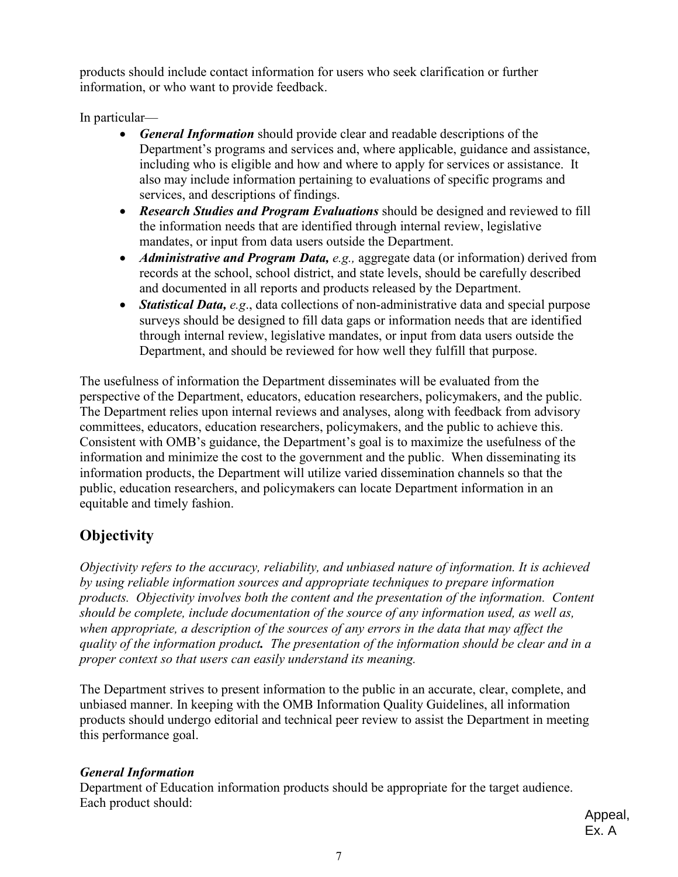products should include contact information for users who seek clarification or further information, or who want to provide feedback.

In particular—

- *General Information* should provide clear and readable descriptions of the Department's programs and services and, where applicable, guidance and assistance, including who is eligible and how and where to apply for services or assistance. It also may include information pertaining to evaluations of specific programs and services, and descriptions of findings.
- *Research Studies and Program Evaluations* should be designed and reviewed to fill the information needs that are identified through internal review, legislative mandates, or input from data users outside the Department.
- and documented in all reports and products released by the Department. • *Administrative and Program Data, e.g.,* aggregate data (or information) derived from records at the school, school district, and state levels, should be carefully described
- *Statistical Data, e.g*., data collections of non-administrative data and special purpose surveys should be designed to fill data gaps or information needs that are identified through internal review, legislative mandates, or input from data users outside the Department, and should be reviewed for how well they fulfill that purpose.

 The Department relies upon internal reviews and analyses, along with feedback from advisory The usefulness of information the Department disseminates will be evaluated from the perspective of the Department, educators, education researchers, policymakers, and the public. committees, educators, education researchers, policymakers, and the public to achieve this. Consistent with OMB's guidance, the Department's goal is to maximize the usefulness of the information and minimize the cost to the government and the public. When disseminating its information products, the Department will utilize varied dissemination channels so that the public, education researchers, and policymakers can locate Department information in an equitable and timely fashion.

# **Objectivity**

*Objectivity refers to the accuracy, reliability, and unbiased nature of information. It is achieved by using reliable information sources and appropriate techniques to prepare information products. Objectivity involves both the content and the presentation of the information. Content should be complete, include documentation of the source of any information used, as well as, when appropriate, a description of the sources of any errors in the data that may affect the quality of the information product. The presentation of the information should be clear and in a proper context so that users can easily understand its meaning.* 

 this performance goal. The Department strives to present information to the public in an accurate, clear, complete, and unbiased manner. In keeping with the OMB Information Quality Guidelines, all information products should undergo editorial and technical peer review to assist the Department in meeting

#### *General Information*

Department of Education information products should be appropriate for the target audience. Each product should: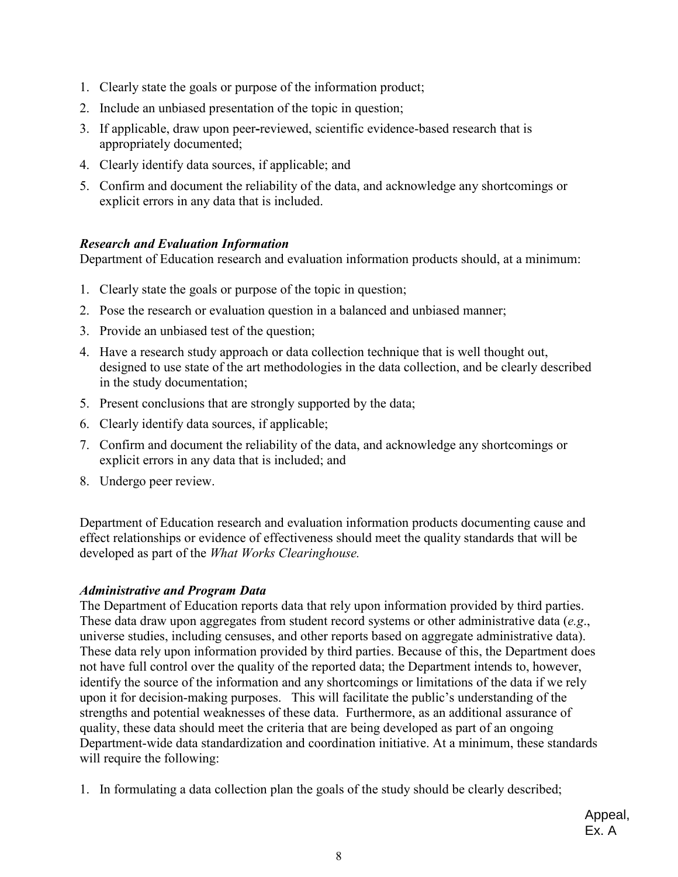- 1. Clearly state the goals or purpose of the information product;
- 2. Include an unbiased presentation of the topic in question;
- 3. If applicable, draw upon peer**-**reviewed, scientific evidence-based research that is appropriately documented;
- 4. Clearly identify data sources, if applicable; and
- 5. Confirm and document the reliability of the data, and acknowledge any shortcomings or explicit errors in any data that is included.

#### *Research and Evaluation Information*

Department of Education research and evaluation information products should, at a minimum: 1. Clearly state the goals or purpose of the topic in question;

- 1. Clearly state the goals or purpose of the topic in question;
- 2. Pose the research or evaluation question in a balanced and unbiased manner;
- 3. Provide an unbiased test of the question;
- 4. Have a research study approach or data collection technique that is well thought out, designed to use state of the art methodologies in the data collection, and be clearly described in the study documentation;
- 5. Present conclusions that are strongly supported by the data;
- 6. Clearly identify data sources, if applicable;
- 7. Confirm and document the reliability of the data, and acknowledge any shortcomings or explicit errors in any data that is included; and
- 8. Undergo peer review.

Department of Education research and evaluation information products documenting cause and effect relationships or evidence of effectiveness should meet the quality standards that will be developed as part of the *What Works Clearinghouse.* 

#### *Administrative and Program Data*

 The Department of Education reports data that rely upon information provided by third parties. These data draw upon aggregates from student record systems or other administrative data (*e.g*., universe studies, including censuses, and other reports based on aggregate administrative data). These data rely upon information provided by third parties. Because of this, the Department does not have full control over the quality of the reported data; the Department intends to, however, identify the source of the information and any shortcomings or limitations of the data if we rely upon it for decision-making purposes. This will facilitate the public's understanding of the strengths and potential weaknesses of these data. Furthermore, as an additional assurance of quality, these data should meet the criteria that are being developed as part of an ongoing Department-wide data standardization and coordination initiative. At a minimum, these standards will require the following:

1. In formulating a data collection plan the goals of the study should be clearly described;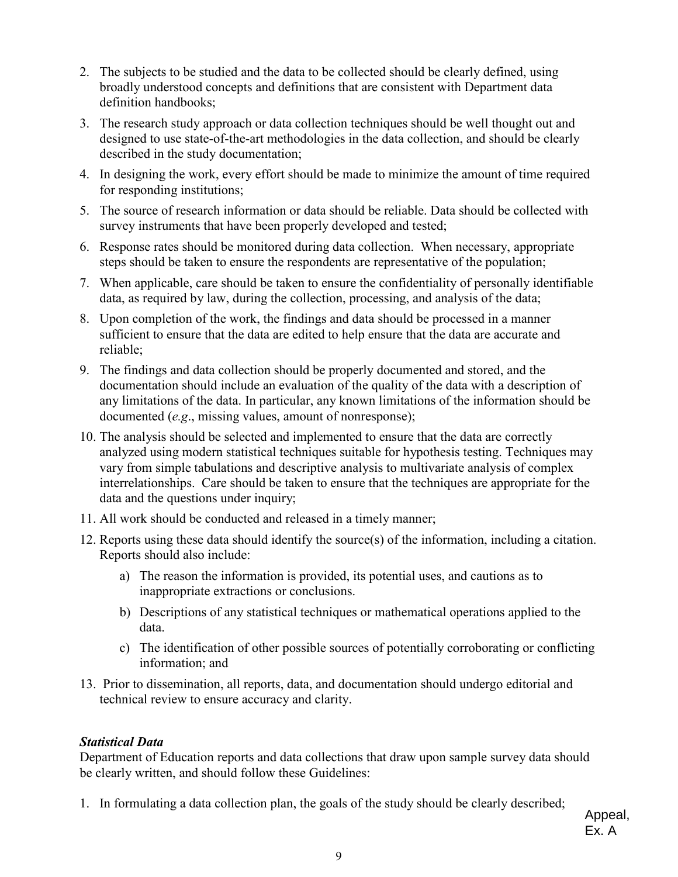- 2. The subjects to be studied and the data to be collected should be clearly defined, using broadly understood concepts and definitions that are consistent with Department data definition handbooks;
- 3. The research study approach or data collection techniques should be well thought out and designed to use state-of-the-art methodologies in the data collection, and should be clearly described in the study documentation;
- 4. In designing the work, every effort should be made to minimize the amount of time required for responding institutions;
- 5. The source of research information or data should be reliable. Data should be collected with survey instruments that have been properly developed and tested;
- 6. Response rates should be monitored during data collection. When necessary, appropriate steps should be taken to ensure the respondents are representative of the population;
- 7. When applicable, care should be taken to ensure the confidentiality of personally identifiable data, as required by law, during the collection, processing, and analysis of the data;
- 8. Upon completion of the work, the findings and data should be processed in a manner sufficient to ensure that the data are edited to help ensure that the data are accurate and reliable;
- 9. The findings and data collection should be properly documented and stored, and the documentation should include an evaluation of the quality of the data with a description of any limitations of the data. In particular, any known limitations of the information should be documented (*e.g*., missing values, amount of nonresponse);
- 10. The analysis should be selected and implemented to ensure that the data are correctly analyzed using modern statistical techniques suitable for hypothesis testing. Techniques may vary from simple tabulations and descriptive analysis to multivariate analysis of complex interrelationships. Care should be taken to ensure that the techniques are appropriate for the data and the questions under inquiry;
- 11. All work should be conducted and released in a timely manner;
- 12. Reports using these data should identify the source(s) of the information, including a citation. Reports should also include:
	- a) The reason the information is provided, its potential uses, and cautions as to inappropriate extractions or conclusions.
	- b) Descriptions of any statistical techniques or mathematical operations applied to the data.
	- c) The identification of other possible sources of potentially corroborating or conflicting information; and
- 13. Prior to dissemination, all reports, data, and documentation should undergo editorial and technical review to ensure accuracy and clarity.

#### *Statistical Data*

Department of Education reports and data collections that draw upon sample survey data should be clearly written, and should follow these Guidelines:

1. In formulating a data collection plan, the goals of the study should be clearly described;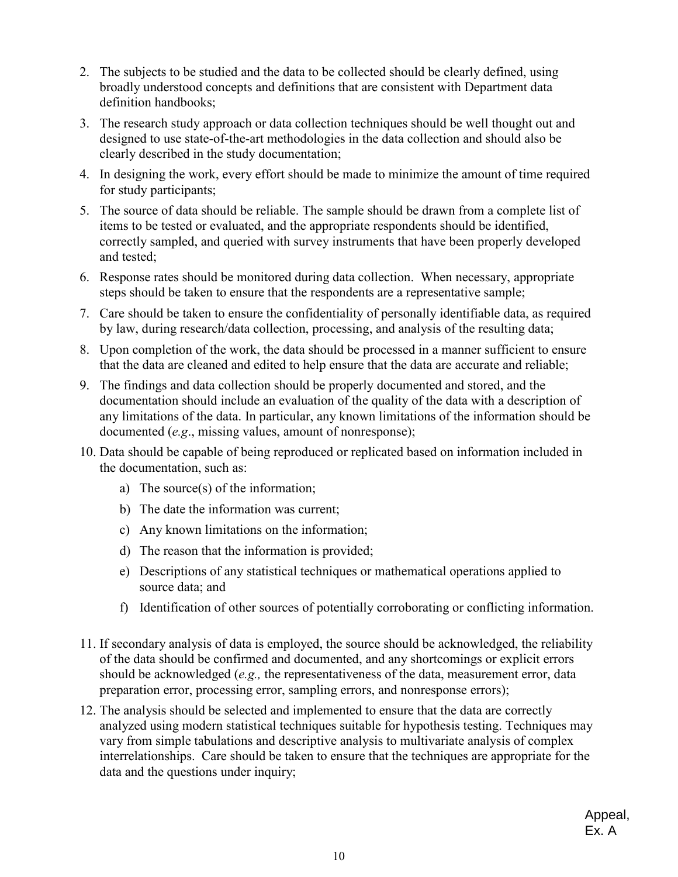- 2. The subjects to be studied and the data to be collected should be clearly defined, using broadly understood concepts and definitions that are consistent with Department data definition handbooks;
- designed to use state-of-the-art methodologies in the data collection and should also be 3. The research study approach or data collection techniques should be well thought out and clearly described in the study documentation;
- 4. In designing the work, every effort should be made to minimize the amount of time required for study participants;
- 5. The source of data should be reliable. The sample should be drawn from a complete list of items to be tested or evaluated, and the appropriate respondents should be identified, correctly sampled, and queried with survey instruments that have been properly developed and tested;
- steps should be taken to ensure that the respondents are a representative sample; 6. Response rates should be monitored during data collection. When necessary, appropriate
- 7. Care should be taken to ensure the confidentiality of personally identifiable data, as required by law, during research/data collection, processing, and analysis of the resulting data;
- 8. Upon completion of the work, the data should be processed in a manner sufficient to ensure that the data are cleaned and edited to help ensure that the data are accurate and reliable;
- 9. The findings and data collection should be properly documented and stored, and the documentation should include an evaluation of the quality of the data with a description of any limitations of the data. In particular, any known limitations of the information should be documented (*e.g*., missing values, amount of nonresponse);
- the documentation, such as: 10. Data should be capable of being reproduced or replicated based on information included in
	- a) The source(s) of the information;
	- b) The date the information was current;
	- c) Any known limitations on the information;
	- d) The reason that the information is provided;
	- e) Descriptions of any statistical techniques or mathematical operations applied to source data; and
	- f) Identification of other sources of potentially corroborating or conflicting information.
- preparation error, processing error, sampling errors, and nonresponse errors); 11. If secondary analysis of data is employed, the source should be acknowledged, the reliability of the data should be confirmed and documented, and any shortcomings or explicit errors should be acknowledged (*e.g.,* the representativeness of the data, measurement error, data
- data and the questions under inquiry; 12. The analysis should be selected and implemented to ensure that the data are correctly analyzed using modern statistical techniques suitable for hypothesis testing. Techniques may vary from simple tabulations and descriptive analysis to multivariate analysis of complex interrelationships. Care should be taken to ensure that the techniques are appropriate for the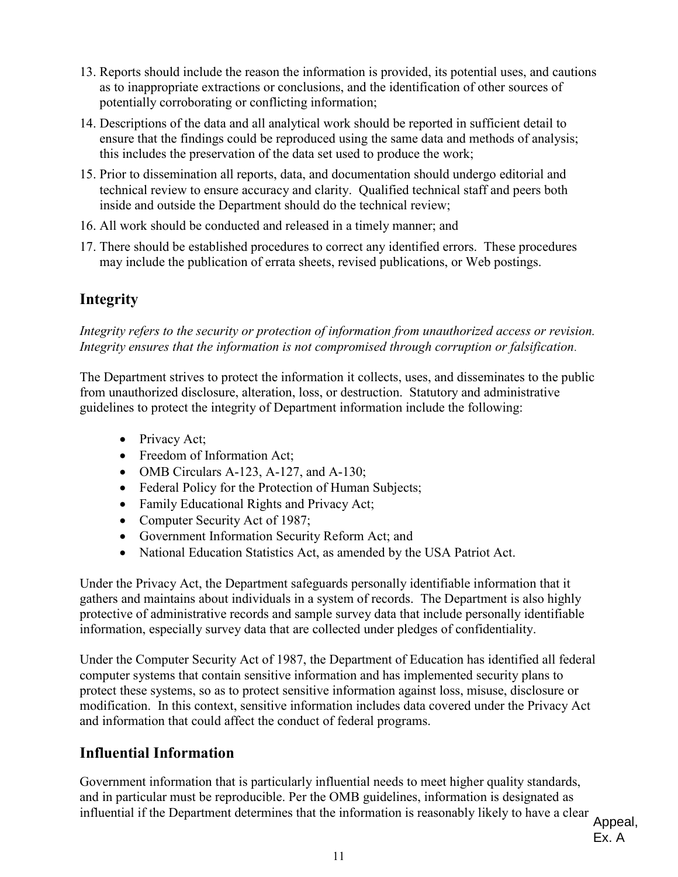- 13. Reports should include the reason the information is provided, its potential uses, and cautions as to inappropriate extractions or conclusions, and the identification of other sources of potentially corroborating or conflicting information;
- 14. Descriptions of the data and all analytical work should be reported in sufficient detail to ensure that the findings could be reproduced using the same data and methods of analysis; this includes the preservation of the data set used to produce the work;
- 15. Prior to dissemination all reports, data, and documentation should undergo editorial and technical review to ensure accuracy and clarity. Qualified technical staff and peers both inside and outside the Department should do the technical review;
- 16. All work should be conducted and released in a timely manner; and
- 17. There should be established procedures to correct any identified errors. These procedures may include the publication of errata sheets, revised publications, or Web postings.

### **Integrity**

*Integrity refers to the security or protection of information from unauthorized access or revision. Integrity ensures that the information is not compromised through corruption or falsification*.

The Department strives to protect the information it collects, uses, and disseminates to the public from unauthorized disclosure, alteration, loss, or destruction. Statutory and administrative guidelines to protect the integrity of Department information include the following:

- Privacy Act;
- Freedom of Information Act;
- OMB Circulars A-123, A-127, and A-130;
- Federal Policy for the Protection of Human Subjects;
- Family Educational Rights and Privacy Act;
- Computer Security Act of 1987;
- Government Information Security Reform Act; and
- National Education Statistics Act, as amended by the USA Patriot Act.

Under the Privacy Act, the Department safeguards personally identifiable information that it gathers and maintains about individuals in a system of records. The Department is also highly protective of administrative records and sample survey data that include personally identifiable information, especially survey data that are collected under pledges of confidentiality.

Under the Computer Security Act of 1987, the Department of Education has identified all federal computer systems that contain sensitive information and has implemented security plans to protect these systems, so as to protect sensitive information against loss, misuse, disclosure or modification. In this context, sensitive information includes data covered under the Privacy Act and information that could affect the conduct of federal programs.

### **Influential Information**

Government information that is particularly influential needs to meet higher quality standards, and in particular must be reproducible. Per the OMB guidelines, information is designated as influential if the Department determines that the information is reasonably likely to have a clear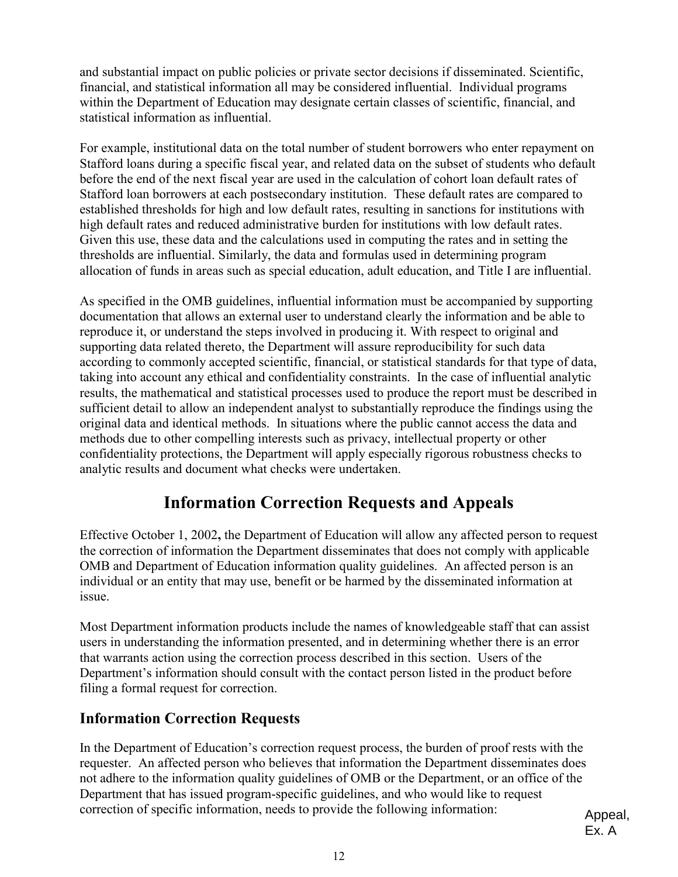and substantial impact on public policies or private sector decisions if disseminated. Scientific, financial, and statistical information all may be considered influential. Individual programs within the Department of Education may designate certain classes of scientific, financial, and statistical information as influential.

For example, institutional data on the total number of student borrowers who enter repayment on Stafford loans during a specific fiscal year, and related data on the subset of students who default statistical information as influential.<br>For example, institutional data on the total number of student borrowers who enter repayment<br>Stafford loans during a specific fiscal year, and related data on the subset of students Stafford loan borrowers at each postsecondary institution. These default rates are compared to established thresholds for high and low default rates, resulting in sanctions for institutions with high default rates and reduced administrative burden for institutions with low default rates. Given this use, these data and the calculations used in computing the rates and in setting the thresholds are influential. Similarly, the data and formulas used in determining program allocation of funds in areas such as special education, adult education, and Title I are influential.

As specified in the OMB guidelines, influential information must be accompanied by supporting documentation that allows an external user to understand clearly the information and be able to reproduce it, or understand the steps involved in producing it. With respect to original and supporting data related thereto, the Department will assure reproducibility for such data according to commonly accepted scientific, financial, or statistical standards for that type of data, taking into account any ethical and confidentiality constraints. In the case of influential analytic  results, the mathematical and statistical processes used to produce the report must be described in sufficient detail to allow an independent analyst to substantially reproduce the findings using the original data and identical methods. In situations where the public cannot access the data and methods due to other compelling interests such as privacy, intellectual property or other confidentiality protections, the Department will apply especially rigorous robustness checks to analytic results and document what checks were undertaken. 

# **Information Correction Requests and Appeals**

Effective October 1, 2002**,** the Department of Education will allow any affected person to request the correction of information the Department disseminates that does not comply with applicable OMB and Department of Education information quality guidelines. An affected person is an individual or an entity that may use, benefit or be harmed by the disseminated information at issue.

Most Department information products include the names of knowledgeable staff that can assist users in understanding the information presented, and in determining whether there is an error that warrants action using the correction process described in this section. Users of the Department's information should consult with the contact person listed in the product before filing a formal request for correction.

### **Information Correction Requests**

In the Department of Education's correction request process, the burden of proof rests with the requester. An affected person who believes that information the Department disseminates does not adhere to the information quality guidelines of OMB or the Department, or an office of the Department that has issued program-specific guidelines, and who would like to request correction of specific information, needs to provide the following information: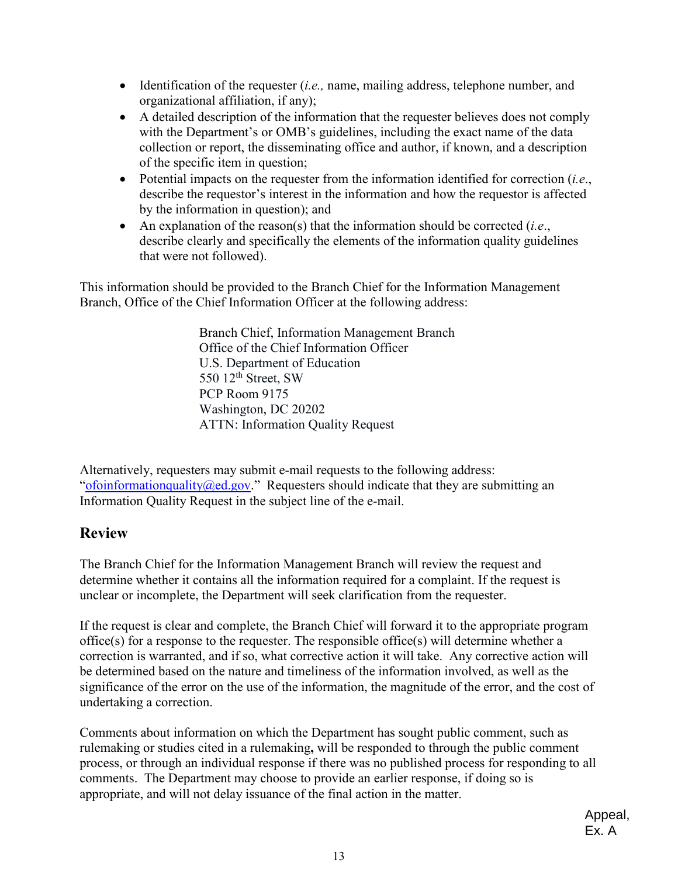- Identification of the requester (*i.e.,* name, mailing address, telephone number, and organizational affiliation, if any);
- A detailed description of the information that the requester believes does not comply with the Department's or OMB's guidelines, including the exact name of the data collection or report, the disseminating office and author, if known, and a description of the specific item in question;
- Potential impacts on the requester from the information identified for correction (*i.e*., describe the requestor's interest in the information and how the requestor is affected by the information in question); and
- describe clearly and specifically the elements of the information quality guidelines • An explanation of the reason(s) that the information should be corrected (*i.e*., that were not followed).

This information should be provided to the Branch Chief for the Information Management Branch, Office of the Chief Information Officer at the following address:

> 550  $12<sup>th</sup>$  Street, SW Branch Chief, Information Management Branch Office of the Chief Information Officer U.S. Department of Education PCP Room 9175 Washington, DC 20202 ATTN: Information Quality Request

Alternatively, requesters may submit e-mail requests to the following address: ["ofoinformationquality@ed.gov.](mailto:ofoinformationquality@ed.gov)" Requesters should indicate that they are submitting an Information Quality Request in the subject line of the e-mail.

#### **Review**

The Branch Chief for the Information Management Branch will review the request and determine whether it contains all the information required for a complaint. If the request is unclear or incomplete, the Department will seek clarification from the requester.

 correction is warranted, and if so, what corrective action it will take. Any corrective action will significance of the error on the use of the information, the magnitude of the error, and the cost of If the request is clear and complete, the Branch Chief will forward it to the appropriate program office(s) for a response to the requester. The responsible office(s) will determine whether a be determined based on the nature and timeliness of the information involved, as well as the undertaking a correction.

comments. The Department may choose to provide an earlier response, if doing so is Comments about information on which the Department has sought public comment, such as rulemaking or studies cited in a rulemaking**,** will be responded to through the public comment process, or through an individual response if there was no published process for responding to all appropriate, and will not delay issuance of the final action in the matter.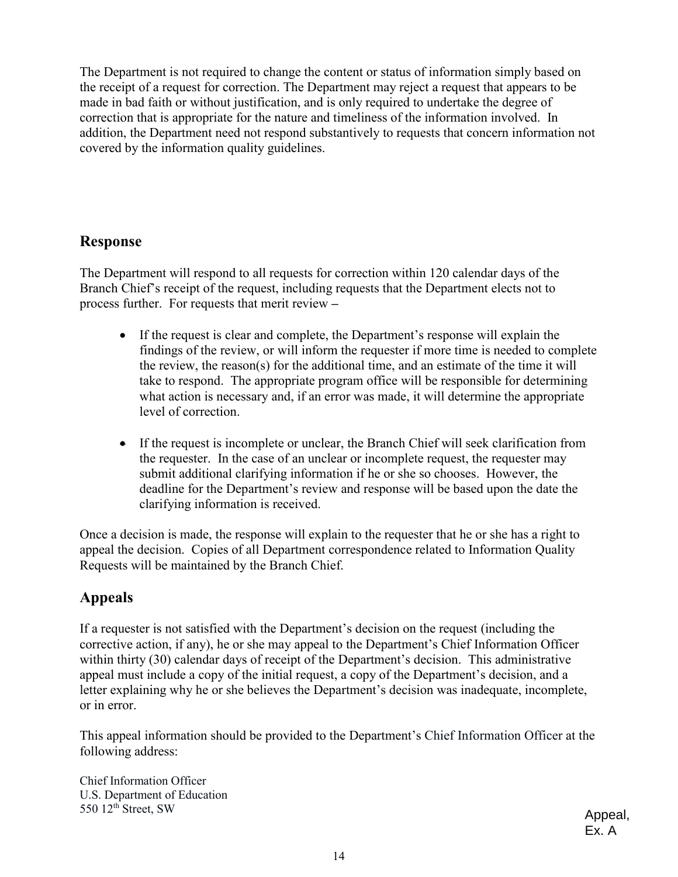correction that is appropriate for the nature and timeliness of the information involved. In The Department is not required to change the content or status of information simply based on the receipt of a request for correction. The Department may reject a request that appears to be made in bad faith or without justification, and is only required to undertake the degree of addition, the Department need not respond substantively to requests that concern information not covered by the information quality guidelines.

### **Response**

 process further. For requests that merit review **–**  The Department will respond to all requests for correction within 120 calendar days of the Branch Chief's receipt of the request, including requests that the Department elects not to

- take to respond. The appropriate program office will be responsible for determining • If the request is clear and complete, the Department's response will explain the findings of the review, or will inform the requester if more time is needed to complete the review, the reason(s) for the additional time, and an estimate of the time it will what action is necessary and, if an error was made, it will determine the appropriate level of correction.
- the requester. In the case of an unclear or incomplete request, the requester may submit additional clarifying information if he or she so chooses. However, the • If the request is incomplete or unclear, the Branch Chief will seek clarification from deadline for the Department's review and response will be based upon the date the clarifying information is received.

Once a decision is made, the response will explain to the requester that he or she has a right to appeal the decision. Copies of all Department correspondence related to Information Quality Requests will be maintained by the Branch Chief.

### **Appeals**

 corrective action, if any), he or she may appeal to the Department's Chief Information Officer If a requester is not satisfied with the Department's decision on the request (including the within thirty (30) calendar days of receipt of the Department's decision. This administrative appeal must include a copy of the initial request, a copy of the Department's decision, and a letter explaining why he or she believes the Department's decision was inadequate, incomplete, or in error.

This appeal information should be provided to the Department's Chief Information Officer at the following address:

550  $12<sup>th</sup>$  Street, SW Chief Information Officer U.S. Department of Education